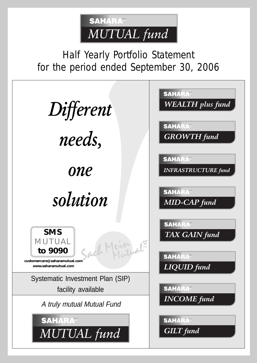

Half Yearly Portfolio Statement for the period ended September 30, 2006

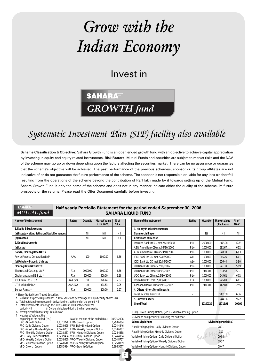# Grow with the Indian Economy

Invest in

## **SAHARA GROWTH** fund

### Systematic Investment Plan (SIP) facility also available

Scheme Classification & Objective: Sahara Growth Fund is an open ended growth fund with an objective to achieve capital appreciation by investing in equity and equity related instruments. Risk Factors: Mutual Funds and securities are subject to market risks and the NAV of the scheme may go up or down depending upon the factors affecting the securities market. There can be no assurance or guarantee that the scheme's objective will be achieved. The past performance of the previous scheme/s, sponsor or its group affiliates are not indicative of or do not guarantee the future performance of the scheme. The sponsor is not responsible or liable for any loss or shortfall resulting from the operations of the scheme beyond the contribution of Rs.1 lakh made by it towards setting up of the Mutual Fund. Sahara Growth Fund is only the name of the scheme and does not in any manner indicate either the quality of the scheme, its future prospects or the returns. Please read the Offer Document carefully before investing.

#### *MUTUAL*

**SAHA** 

#### Half yearly Portfolio Statement for the period ended September 30, 2006 SAHARA LIQUID FUND

2

| Name of the Instrument                         | Rating  | Quantity | <b>Market Value</b><br>(Rs. Lacs) | $%$ of<br><b>NAV</b> |
|------------------------------------------------|---------|----------|-----------------------------------|----------------------|
| 1. Equity & Equity related                     |         |          |                                   |                      |
| (a) listed/awaiting listing on Stock Exchanges |         | Nil      | Nil                               | Nil                  |
| (b) Unlisted                                   |         | Nil      | Nil                               | Nil                  |
| 2. Debt Instruments                            |         |          |                                   |                      |
| (a) Listed                                     |         |          |                                   |                      |
| <b>Bonds / Floating Rate NCDs</b>              |         |          |                                   |                      |
| Power Finance Corporation Ltd *                | AAA     | $100 -$  | 1000.00                           | 6.36                 |
| (b) Privately Placed / Unlisted                |         |          |                                   |                      |
| <b>Floating Rate NCDs/PTC</b>                  |         |          |                                   |                      |
| Electrosteel Castings Ltd *                    | $P1+$   | 1000000  | 1000.00                           | 6.36                 |
| Cholamandalam DBS Ltd *                        | $P1 +$  | 500000   | 500.00                            | 3.18                 |
| ICICI Bank Ltd PTC *                           | AAA(SO) | 10       | 326.44                            | 2.07                 |
| UTI Bank Ltd PTC *                             | AAA(SO) | 10       | 321.63                            | 2.05                 |
| Berger Paints *                                | $P1 +$  | 200000   | 200.00                            | 1.27                 |

\* Thinly Traded / Non Traded Securities

a. No NPAs as per SEBI guidelines. b.Total value and percentage of illiquid equity shares - Nil

c. Total outstanding exposure in derivative inst. at the end of the period-Nil

Total investments in foreign securities/ADRs/GDRs at the end of the period. Nil \$ Dividend declared during the half year per \$ Dividend declared during the half year period

e. Average Portfolio maturity: 109.98 days f. Net Asset Value at the

| Net Asset value at the        |                                          |            |
|-------------------------------|------------------------------------------|------------|
| beginning of the period (Rs.) | NAV at the end of the period (Rs.)       | 30/09/2006 |
| FPO - Growth Option           | 1,257.3228 FPO - Growth Option           | 1.293.6304 |
| FPO- Daily Dividend Option    | 1,023.9399 FPO-Daily Dividend Option     | 1.024.4846 |
| FPO - Weekly Dividend Option  | 1,024.6207 FPO - Weekly Dividend Option  | 1.024.6207 |
| FPO - Monthly Dividend Option | 1,023.8567 FPO - Monthly Dividend Option | 1.024.4358 |
| VPO- Daily Dividend Option    | 1,023.9494 VPO-Daily Dividend Option     | 1.024.4954 |
| VPO- Weekly Dividend Option   | 1,023.9360 VPO- Weekly Dividend Option   | 1.024.8757 |
| VPO- Monthly Dividend Option  | 1,024.0510 VPO-Monthly Dividend Option   | 1.025.0389 |
| VPO- Growth Option            | 1,258.5984 VPO- Growth Option            | 1.296.5077 |
|                               |                                          |            |

| Name of the Instrument              | Rating | <b>Quantity</b> | <b>Market Value</b><br>(Rs. Lacs) | $%$ of<br><b>NAV</b> |
|-------------------------------------|--------|-----------------|-----------------------------------|----------------------|
| 3. Money Market Instruments         |        |                 |                                   |                      |
| <b>Commercial Paper</b>             |        | Nil             | Nil                               | Nil                  |
| <b>Certificate of Deposit</b>       |        |                 |                                   |                      |
| IndusInd Bank Ltd CD mat 24/10/2006 | $P1+$  | 2000000         | 1979.08                           | 12.59                |
| ABN Amro Bank CD mat 03/10/2006     | $P1 +$ | 1000000         | 992.67                            | 6.32                 |
| ABN Amro Bank CD mat 24/10/2006     | $P1 +$ | 1000000         | 948 10                            | 6.03                 |
| ICICI Bank Ltd CD mat 22/06/2007    | $A1+$  | 1000000         | 945.26                            | 6.01                 |
| ICICI Bank Ltd CD mat 20/09/2007    | $A1+$  | 1000000         | 926 44                            | 5.90                 |
| UTI Bank Ltd CD mat 27/10/2006      | $P1+$  | 1000000         | 941.33                            | 5.99                 |
| UTI Bank Ltd CD mat 18/09/2007      | $P1+$  | 900000          | 833.58                            | 5.31                 |
| UCO Bank Ltd CD mat 25/10/2006      | $P1+$  | 1000000         | 945.62                            | 6.02                 |
| Indian Bank CD mat 05/06/2007       | $F1+$  | 1000000         | 945.03                            | 6.01                 |
| Allahabad Bank CD mat 19/07/2007    | $P1+$  | 500000          | 462.88                            | 2.95                 |
| 4. Others - Short Term Deposits     |        |                 |                                   |                      |
| Lakshmi Vilas Bank Ltd              |        |                 | 1000.00                           | 6.36                 |
| 5. Current Assets                   |        |                 | 1444.86                           | 9.22                 |
| <b>Grand Total</b>                  |        | 12100120        | 15712.91                          | 100.00               |

(FPO) - Fixed Pricing Option; (VPO) - Variable Pricing Option  $5.9$  Dividend per unit (Rs) during the half years during the half years during the half years of  $\sim$ 

| Sahara Liquid Fund                                | Dividend per unit (Rs.) |
|---------------------------------------------------|-------------------------|
| Fixed Pricing Option - Daily Dividend Option      | 28.71                   |
| Fixed Pricing Option - Monthly Dividend Option    | 9.02                    |
| Variable Pricing Option - Daily Dividend Option   | 29.84                   |
| Variable Pricing Option - Weekly Dividend Option  | 29.37                   |
| Variable Pricing Option - Monthly Dividend Option | 29.47                   |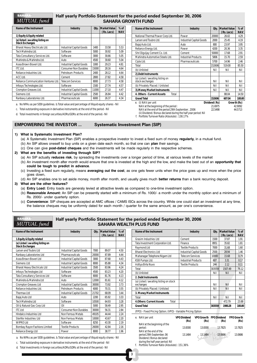### MUTUAL fund

#### Half yearly Portfolio Statement for the period ended September 30, 2006 SAHARA GROWTH FUND

| Name of the Instrument<br><b>Industry</b>                  |                                 | Qty.  | Market Value | $%$ of     |
|------------------------------------------------------------|---------------------------------|-------|--------------|------------|
|                                                            |                                 |       | (Rs. Lacs)   | <b>NAV</b> |
| 1) Equity & Equity related                                 |                                 |       |              |            |
| (a) listed / awaiting listing on<br><b>Stock Exchanges</b> |                                 |       |              |            |
| Bharat Heavy Electricals Ltd.                              | <b>Industrial Capital Goods</b> | 1400  | 33.58        | 5.53       |
| Tech Mahindra Ltd.                                         | Software                        | 5000  | 30.92        | 5.09       |
| Tata Consultancy Services Ltd.                             | Software                        | 3000  | 30.66        | 5.05       |
| Mahindra & Mahindra Ltd.                                   | Auto                            | 4500  | 30.60        | 5.04       |
| Asea Brown Boveri Ltd.                                     | <b>Industrial Capital Goods</b> | 1000  | 29.23        | 4.81       |
| <b>ITC Ltd.</b>                                            | <b>Consumer Non Durables</b>    | 15000 | 28.16        | 4.64       |
| Reliance Industries Ltd.                                   | Petroleum Products              | 2400  | 28.12        | 4.64       |
| ACC Ltd.                                                   | Cement                          | 2800  | 27.82        | 4.58       |
| Reliance Communication Ventures Ltd.                       | <b>Telecom Services</b>         | 8000  | 27.73        | 4.58       |
| Infosys Technologies Ltd.                                  | Software                        | 1500  | 27.74        | 4.57       |
| Crompton Greaves Ltd.                                      | <b>Industrial Capital Goods</b> | 11000 | 27.10        | 4.47       |
| Siemens Ltd.                                               | <b>Industrial Capital Goods</b> | 2500  | 26.84        | 4.42       |
| Ranbaxy Laboratories Ltd.                                  | Pharmaceuticals                 | 6000  | 26.37        | 4.34       |
|                                                            |                                 |       |              |            |

a. No NPAs as per SEBI guidelines. b.Total value and percentage of illiquid equity shares - Nil

c. Total outstanding exposure in derivative instruments at the end of the period - Nil

d. Total investments in foreign securities/ADRs/GDRs at the end of the period.- Nil

#### EMPOWERING THE INVESTOR ... Systematic Investment Plan (SIP)

#### 1) What is Systematic Investment Plan?

(a) A Systematic Investment Plan (SIP) enables a prospective investor to invest a fixed sum of money regularly, in a mutual fund.

- (b) An SIP allows oneself to buy units on a given date each month, so that one can plan their savings.
- (c) One can give post-dated cheques and the investments will be made regularly in the respective schemes.
- 2) What are the benefits of investing through SIP?
	- (a) An SIP actually reduces risk, by spreading the investments over a longer period of time, at various levels of the market
	- (b) An investment month after month would ensure that one is invested at the high and the low, and make the best out of an opportunity that could be tough to predict in advance.
	- (c) Investing a fixed sum regularly, means averaging out the cost, as one gets fewer units when the price goes up and more when the price goes down,
	- (d) An SIP enables one to set aside money, month after month, and usually gives much **better returns** than a bank recurring deposit.

#### 3) What are the other features?

- (a) Entry Load: Entry loads are generaly levied at attractive levels as compared to one-time investment option.
- (b) Reasonable Amount: An SIP can be presently started with a minimum of Rs. 1000/- a month under the monthly option and a minimum of Rs. 2000/- under quarterly option.
- (c) Convenience: SIP cheques are accepted at AMC offices / CAMS ISCs across the country. While one could start an investment at any time, the balance cheques may be uniformly dated for each month / quarter for the same amount, as per one's convenience.

#### **SAHA** MUTUAL fund

#### Half yearly Portfolio Statement for the period ended September 30, 2006 SAHARA WEALT

3

| Name of the Instrument                                     | <b>Industry</b>                 | Qty.  | <b>Market Value</b><br>(Rs. Lacs) | $%$ of<br><b>NAV</b> |
|------------------------------------------------------------|---------------------------------|-------|-----------------------------------|----------------------|
| 1. Equity & Equity related                                 |                                 |       |                                   |                      |
| (a) Listed / awaiting listing on<br><b>Stock Exchanges</b> |                                 |       |                                   |                      |
| Larsen and Toubro Ltd                                      | Industrial Capital Goods        | 7000  | 89.07                             | 4.50                 |
| Ranbaxy Laboratories Ltd                                   | Pharmaceuticals                 | 20000 | 8789                              | 444                  |
| Asea Brown Boveri Ltd                                      | Industrial Capital Goods        | 3000  | 87.68                             | 4.43                 |
| Siemens Ltd                                                | Industrial Capital Goods        | 8000  | 85.88                             | 4.34                 |
| <b>Bharat Heavy Electricals Ltd</b>                        | <b>Industrial Capital Goods</b> | 3500  | 83.96                             | 4.24                 |
| Infosys Technologies Ltd                                   | Software                        | 4500  | 83.23                             | 4.20                 |
| Tata Consultancy Services Ltd                              | Software                        | 8000  | 81.76                             | 4.13                 |
| Mahindra & Mahindra Ltd                                    | Auto                            | 12000 | 8161                              | 412                  |
| Crompton Greaves Ltd                                       | Industrial Capital Goods        | 30000 | 73.92                             | 3.73                 |
| Reliance Industries Ltd.                                   | Petroleum Products              | 6000  | 70.31                             | 3.55                 |
| Thermax Ltd                                                | Industrial Capital Goods        | 21702 | 68.09                             | 3.44                 |
| Bajaj Auto Ltd                                             | Auto                            | 2200  | 65.92                             | 3.33                 |
| <b>Tech Mahindra Ltd</b>                                   | Software                        | 10500 | 64.93                             | 3.28                 |
| Oil & Natural Gas Corp Ltd                                 | Oil                             | 5000  | 5849                              | 2.95                 |
| <b>ITC</b> Ltd                                             | <b>Consumer Non Durables</b>    | 30000 | 56.31                             | 2.84                 |
| Hindalco Industries Ltd                                    | Non Ferrous Metals              | 49105 | 44 44                             | 2.24                 |
| Sterlite Industries Ltd                                    | Non Ferrous Metals              | 10000 | 43.67                             | 2.20                 |
| WIPRO Ltd                                                  | Software                        | 8250  | 43.30                             | 2.19                 |
| Bombay Rayon Fashions Limited                              | <b>Textile Products</b>         | 26000 | 42.84                             | 2.16                 |
| Reliance Energy Ltd                                        | Power                           | 8000  | 38.77                             | 1.96                 |

| Name of the Instrument                              | <b>Industry</b>                 | Oty.   | <b>Market Value</b><br>(Rs. Lacs) | $%$ of<br><b>NAV</b> |
|-----------------------------------------------------|---------------------------------|--------|-----------------------------------|----------------------|
| Grasim Industries Ltd                               | Cement                          | 1500   | 37.87                             | 1.91                 |
| Tata Investment Corporation Ltd.                    | Finance                         | 8951   | 35.82                             | 1.81                 |
| Raymond Ltd                                         | <b>Textile Products</b>         | 7000   | 31.68                             | 1.60                 |
| <b>Bharat Electronics Ltd</b>                       | <b>Industrial Capital Goods</b> | 2500   | 28.94                             | 1.46                 |
| Mahanagar Telephone Nigam Ltd                       | <b>Telecom Services</b>         | 10000  | 15.68                             | 0.79                 |
| KSB Pumps Ltd.                                      | <b>Industrial Products</b>      | 607    | 3.31                              | 0.17                 |
| Aditya Birla Nuvo                                   | <b>Textile Products</b>         | 244    | 2.12                              | 0.11                 |
| Total                                               |                                 | 303559 | 1507.49                           | 76.12                |
| (b) Unlisted                                        |                                 | Nil    | Nil                               | Nil                  |
| 2. Debt Instruments                                 |                                 |        |                                   |                      |
| (a) Listed / awaiting listing on stock<br>exchanges |                                 | Nil    | Nil                               | Nil                  |
| (b) Privately Placed / Unlisted                     |                                 | Nil    | Nil                               | Nil                  |
| 3. Money Market Instruments                         |                                 |        |                                   |                      |
| Total                                               |                                 | Nil    | Nil                               | Nil                  |
| <b>4.0thers: Current Assets</b><br>Total            |                                 |        | 472.79                            | 23.88                |
| <b>Grand Total</b>                                  |                                 | 303559 | 1980.28                           | 100.00               |

(FPO) - Fixed Pricing Option; (VPO) - Variable Pricing Option

| e. NAV per unit                                                                  | <b>VPO Dividend</b><br>(Rs) | (Rs)    | VPO Growth FPO Dividend<br>(Rs) | <b>FPO Growth</b><br>(Rs) |
|----------------------------------------------------------------------------------|-----------------------------|---------|---------------------------------|---------------------------|
| NAV at the beginning of the<br>period:<br>NAV at the end of the                  | 13.8300                     | 13.8300 | 13.7825                         | 13.7825                   |
| period 29th September, 06<br>Dividend / Bonus declared                           | 13.1484                     | 13.1484 | 13.0686                         | 13.0686                   |
| during the half year period: Nil<br>Portfolio Turnover Ratio (Absolute): 151.36% |                             |         |                                 |                           |

a. No NPAs as per SEBI guidelines. b.Total value and percentage of illiquid equity shares - Nil

c. Total outstanding exposure in derivative instruments at the end of the period - Nil

d. Total investments in foreign securities/ADRs/GDRs at the end of the period.- Nil

| Bajaj Auto Ltd.                                                                                                    | Auto                       | 800                                 | 23.97       | 3.95               |
|--------------------------------------------------------------------------------------------------------------------|----------------------------|-------------------------------------|-------------|--------------------|
| Reliance Energy Ltd.                                                                                               | Power                      | 4200                                | 20.36       | 3.35               |
| Shri Digvijay Cement Co. Ltd.                                                                                      | Cement                     | 50000                               | 17.68       | 2.91               |
| Mahindra Automotive Steels Ltd.                                                                                    | <b>Industrial Products</b> | 5806                                | 15.70       | 2.59               |
| Cipla Ltd.                                                                                                         | Pharmaceuticals            | 5700                                | 14.96       | 2.46               |
| Total                                                                                                              |                            | 152606                              | 519.00      | 85.50              |
| (b) Unlisted                                                                                                       |                            | Nil                                 | Nil         | Nil                |
| 2). Debt Instruments                                                                                               |                            |                                     |             |                    |
| (a) Listed / awaiting listing on<br>stock exchanges                                                                |                            | Nil                                 | Nil         | Nil                |
| (b) Privately Placed / Unlisted                                                                                    |                            | Nil                                 | Nil         | Nil                |
| 3). Money Market Instruments                                                                                       |                            | Nil                                 | Nil         | Nil                |
| 4. Others - Current Assets<br>Total                                                                                |                            |                                     | 88.04       | 14.50              |
| <b>Grand Total</b>                                                                                                 |                            | 152606                              | 607.04      | 100.00             |
| (i) NAV per unit<br>е.<br>NAV at the beginning of the period:<br>NAV at the end of the period 29th September, 2006 |                            | Dividend (Rs)<br>21.6975<br>22.5498 | Growth (Rs) | 42.9092<br>44.5713 |
| (ii) Dividend / Bonus declared during the half vear period: Nil                                                    |                            |                                     |             |                    |

Name of the Instrument **Industry Dty.** Market Value | % of

National Thermal Power Corp Ltd. Power 2000 26.02 4.29 Larsen and Toubro Ltd. **Industrial Capital Goods** 2000 25.45 4.19

**( Rs. Lacs) NAV**

(ii) Dividend / Bonus declared during the half year period: Nil f. Portfolio Turnover Ratio (Absolute) : 138.17%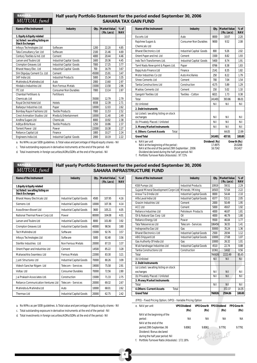#### **SAHAR** MUTUAL fund

#### Half yearly Portfolio Statement for the period ended September 30, 2006 SAHARA TAX GAIN FUND

| Name of the Instrument                                     | <b>Industry</b>                 | Qtv.  | Market Value<br>(Rs. Lacs) | $%$ of<br><b>NAV</b> |
|------------------------------------------------------------|---------------------------------|-------|----------------------------|----------------------|
| 1. Equity & Equity related                                 |                                 |       |                            |                      |
| (a) listed / awaiting listing on<br><b>Stock Exchanges</b> |                                 |       |                            |                      |
| Infosys Technologies Ltd                                   | Software                        | 1200  | 22.20                      | 4.85                 |
| Tata Consultancy Ser. Ltd                                  | Software                        | 2100  | 21.46                      | 4.69                 |
| Century Textiles & Ind. Ltd                                | Cement                          | 4000  | 20.44                      | 4.46                 |
| Larsen and Toubro Ltd                                      | <b>Industrial Capital Goods</b> | 1600  | 20.36                      | 4.45                 |
| <b>Crompton Greaves Ltd</b>                                | Industrial Capital Goods        | 7000  | 17.25                      | 3.77                 |
| Bharat Heavy Elec. Ltd                                     | <b>Industrial Capital Goods</b> | 700   | 16.79                      | 3.67                 |
| Shri Digvijay Cement Co. Ltd                               | Cement                          | 45000 | 15.91                      | 3.47                 |
| SKF India I td                                             | <b>Industrial Products</b>      | 5000  | 15.34                      | 3.35                 |
| Mahindra & Mahindra Ltd                                    | Auto                            | 2000  | 13.60                      | 2.97                 |
| Hindalco Industries Ltd                                    | Non Ferrous Metals              | 15000 | 13.58                      | 2.96                 |
| <b>ITC Ltd</b>                                             | <b>Consumer Non Durables</b>    | 7000  | 13.14                      | 2.87                 |
| Chambal Fertilisers &                                      | Fertilisers                     |       |                            |                      |
| Chemicals Ltd                                              |                                 | 35000 | 1279                       | 2.79                 |
| Royal Orchid Hotel Ltd                                     | <b>Hotels</b>                   | 6938  | 12.39                      | 2.71                 |
| Ballarpur Industries Ltd.                                  | Paper                           | 10000 | 12.03                      | 2.62                 |
| Bombay Rayon Fashions Ltd                                  | <b>Textile Products</b>         | 7000  | 11.53                      | 2.52                 |
| <b>Crest Animation Studios Ltd</b>                         | Media & Entertainment           | 10000 | 11.40                      | 2.49                 |
| Andhra Sugars Ltd                                          | Chemicals                       | 8000  | 10.92                      | 2.38                 |
| Aditya Birla Nuvo                                          | <b>Textile Products</b>         | 1250  | 10.86                      | 2.37                 |
| Torrent Power I td                                         | Power                           | 22000 | 10.38                      | 2.27                 |
| Reliance Capital Ltd                                       | Finance                         | 1800  | 10.27                      | 2.24                 |
| Engineers India Ltd.                                       | <b>Industrial Capital Goods</b> | 2000  | 10.19                      | 2.22                 |

a. No NPAs as per SEBI guidelines. b.Total value and percentage of illiquid equity shares - Nil

c. Total outstanding exposure in derivative instruments at the end of the period - Nil

d. Total investments in foreign securities/ADRs/GDRs at the end of the period.- Nil

| Name of the Instrument                                                                                      | Industry                        | Qty.                                | <b>Market Value</b><br>(Rs. Lacs) | $%$ of<br><b>NAV</b>              |
|-------------------------------------------------------------------------------------------------------------|---------------------------------|-------------------------------------|-----------------------------------|-----------------------------------|
| <b>Escorts Ltd</b>                                                                                          | Auto                            | 8000                                | 10.07                             | 2.20                              |
| Rajshree Sugars &                                                                                           | <b>Consumer Non Durables</b>    | 9000                                | 9.52                              | 2.08                              |
| Chemicals Ltd                                                                                               |                                 |                                     |                                   |                                   |
| <b>Bharat Electronics Ltd</b>                                                                               | Industrial Capital Goods        | 800                                 | 9.26                              | 2.02                              |
| Orient Paper and Ind. Ltd                                                                                   | Cement                          | 1500                                | 8.82                              | 1.93                              |
| Indo Tech Transformers Ltd.                                                                                 | <b>Industrial Capital Goods</b> | 5400                                | 8.74                              | 1.91                              |
| Tamil Nadu Newsprint & Papers Ltd.                                                                          | Paper                           | 8766                                | 8.38                              | 1.83                              |
| Bajaj Auto Finance Ltd                                                                                      | Finance                         | 2141                                | 8.35                              | 1.82                              |
| Motor Industries Co Ltd                                                                                     | <b>Auto Ancillaries</b>         | 250                                 | 8.22                              | 1.79                              |
| Shree Cements Ltd                                                                                           | Cement                          | 700                                 | 7.04                              | 1.54                              |
| <b>Tantia Constructions Ltd</b>                                                                             | Construction                    | 4175                                | 5.89                              | 1.29                              |
| Madras Cements Ltd                                                                                          | Cement                          | 150                                 | 5.02                              | 1.10                              |
| Gangotri Textiles Ltd                                                                                       | Textiles - Cotton               | 6021                                | 1.73                              | 0.38                              |
| Total                                                                                                       |                                 | 241491                              | 393.86                            | 86.01                             |
| (b) Unlisted                                                                                                |                                 | Nil                                 | Nil                               | Nil                               |
| 2. Debt Instruments                                                                                         |                                 |                                     |                                   |                                   |
| (a) Listed / awaiting listing on stock<br>exchanges                                                         |                                 | Nil                                 | Nil                               | Nil                               |
| (b) Privately Placed / Unlisted                                                                             |                                 | Nil                                 | Nil                               | Nil                               |
| 3. Money Market Instruments                                                                                 |                                 | Nil                                 | Nil                               | Nil                               |
| 4. Others: Current Assets<br>Total                                                                          |                                 |                                     | 64.05                             | 13.99                             |
| <b>Grand Total</b>                                                                                          |                                 | 241491                              | 457.91                            | 100.00                            |
| e. NAV per unit<br>NAV at the beginning of the period:<br>NAV at the end of the period 29th September, 2006 |                                 | Dividend (Rs)<br>17.4975<br>16.7242 |                                   | Growth (Rs)<br>20.0268<br>19.1417 |

Dividend declared during the half year period- Nil f. Portfolio Turnover Ratio (Absolute) : 97.72%

#### **SAHAR** MUTUAL fund

#### Half yearly Portfolio Statement for the period ended September 30, 2006 SAHARA INFRASTRUCTURE FUND

| Name of the Instrument                                     | Industry                        |       | <b>Qty.</b> Market Value<br>(Rs. Lacs) | $%$ of<br><b>NAV</b> |
|------------------------------------------------------------|---------------------------------|-------|----------------------------------------|----------------------|
| 1. Equity & Equity related                                 |                                 |       |                                        |                      |
| (a) listed / awaiting listing on<br><b>Stock Exchanges</b> |                                 |       |                                        |                      |
| <b>Bharat Heavy Electricals Ltd</b>                        | <b>Industrial Capital Goods</b> | 4500  | 107.95                                 | 4.16                 |
| Siemens Ltd                                                | <b>Industrial Capital Goods</b> | 10000 | 107.36                                 | 4.14                 |
| Asea Brown Boveri Ltd                                      | Industrial Capital Goods        | 3600  | 105.21                                 | 4.05                 |
| National Thermal Power Corp Ltd                            | Power                           | 80000 | 104.08                                 | 4.01                 |
| Larsen and Toubro Ltd                                      | Industrial Capital Goods        | 8000  | 101.80                                 | 3.92                 |
| Crompton Greaves Ltd                                       | <b>Industrial Capital Goods</b> | 40000 | 98.56                                  | 3.80                 |
| Tech Mahindra Ltd                                          | Software                        | 15000 | 9276                                   | 3.57                 |
| Infosys Technologies Ltd                                   | Software                        | 5000  | 9248                                   | 3.56                 |
| Sterlite Industries Ltd                                    | Non Ferrous Metals              | 20000 | 87.33                                  | 3.37                 |
| Orient Paper and Industries Ltd                            | Cement                          | 14500 | 85.22                                  | 3.28                 |
| Maharashtra Seamless Ltd                                   | <b>Ferrous Metals</b>           | 22000 | 83.30                                  | 3.21                 |
| Jyoti Structures Ltd                                       | Industrial Capital Goods        | 70000 | 80.26                                  | 3.09                 |
| Videsh Sanchar Nigam Ltd                                   | Telecom - Services              | 19000 | 75.58                                  | 2.91                 |
| Voltas Ltd                                                 | <b>Consumer Durables</b>        | 70000 | 72.56                                  | 2.80                 |
| Jai Prakash Associates Ltd.                                | Construction                    | 15000 | 71.33                                  | 2.75                 |
| <b>Reliance Communication Ventures Ltd</b>                 | Telecom - Services              | 20000 | 69.32                                  | 2.67                 |
| Mahindra & Mahindra Ltd                                    | Auto                            | 10000 | 68.01                                  | 2.62                 |
| Thermax Ltd                                                | <b>Industrial Capital Goods</b> | 20000 | 62.75                                  | 2.42                 |

a. No NPAs as per SEBI guidelines. b.Total value and percentage of illiquid equity shares - Nil

c. Total outstanding exposure in derivative instruments at the end of the period - Nil

d. Total investments in foreign securities/ADRs/GDRs at the end of the period.- Nil

**Name of the Instrument Industry Qty.** Market Value % of **(Rs. Lacs) NAV (Rs. Lacs)** KSB Pumps Ltd. 10919 10919 10919 10919 10919 12.29 Gujarat Mineral Development Corpn Ltd Minerals / Mining 16503 57.64 2.22 Areva T & D India Ltd Industrial Capital Goods 8000 54.44 2.10 Alfa Laval India Ltd Industrial Capital Goods 6577 53.11 2.05 Grasim Industries Ltd  $\vert$  Cement  $\vert$  2000  $\vert$  50.49  $\vert$  1.95 ACC Ltd Cement 5000 49.67 1.92 Reliance Industries Ltd Petroleum Products 4000 46.87 1.81 Oil & Natural Gas Corp Ltd Oil 4000 46.79 1.80 Reliance Energy Ltd Power 9500 46.04 1.77<br>
Tata Teleservices Ltd Telecom - Services 186456 36.55 1.41 Tata Teleservices Ltd Indraprastha Gas Ltd Gas 30000 35.24 1.36 Bharat Electronics Ltd Industrial Capital Goods 2500 28.94 1.12 ABG Shipyard Ltd Industrial Capital Goods 10000 27.68 1.07 Gas Authority Of India Ltd | Gas | 10000 | 26.32 | 1.01 Walchandnagar Industries Ltd Industrial Capital Goods 4510 22.74 0.88 Tantia Constructions Ltd Construction 10361 14.62 0.56 Total 766926 2222.49 85.65 (b) Unlisted Nil Nil Nil Nil Nil Nil **2. Debt Instruments** (a) Listed / awaiting listing on stock exchanges Nil Nil Nil (b) Privately Placed / Unlisted Nil Nil Nil Nil Nil Nil Nil **3. Money Market Instruments** Total Nil Nil Nil **4.0thers: Current Assets** Total 372.37 14.35 **Grand Total 766926 2594.86 100.00**

(FPO) - Fixed Pricing Option; (VPO) - Variable Pricing Option

| e. NAV per unit                  | <b>VPO Dividend</b> |           | VPO Growth FPO Dividend | <b>FPO Growth</b> |
|----------------------------------|---------------------|-----------|-------------------------|-------------------|
|                                  | (Rs)                | (Rs)      | (Rs)                    | (Rs)              |
| NAV at the beginning of the      |                     |           |                         |                   |
| period:                          | <b>NA</b>           | <b>NA</b> | <b>NA</b>               | NA.               |
| NAV at the end of the            |                     |           |                         |                   |
| period 29th September, 06        | 9.8061              | 9.8061    | 9.7791                  | 9.7791            |
| Dividend / Bonus declared        |                     |           |                         |                   |
| during the half year period: Nil |                     |           |                         |                   |
|                                  |                     |           |                         |                   |

f. Portfolio Turnover Ratio (Absolute) : 172.18%

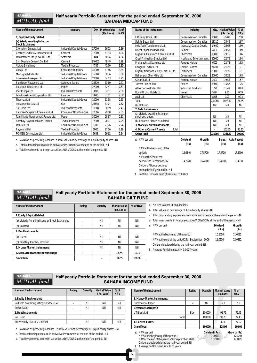#### **SAHA** MUTUAL fund

#### Half yearly Portfolio Statement for the period ended September 30, 2006 SAHARA MIDCAP FUND

| Name of the Instrument                                     | <b>Industry</b>                 |        | <b>Market Value</b><br>(Rs. Lacs) | $%$ of<br><b>NAV</b> |
|------------------------------------------------------------|---------------------------------|--------|-----------------------------------|----------------------|
| 1) Equity & Equity related                                 |                                 |        |                                   |                      |
| (a) listed / awaiting listing on<br><b>Stock Exchanges</b> |                                 |        |                                   |                      |
| <b>Crompton Greaves Ltd</b>                                | Industrial Capital Goods        | 27000  | 66.53                             | 5.36                 |
| Century Textiles & Industries Ltd                          | Cement                          | 12000  | 61.33                             | 4.94                 |
| Tata Infotech Ltd (Now TCS Ltd)                            | Software                        | 5884   | 60.14                             | 484                  |
| Shri Digvijay Cement Co. Ltd                               | Cement                          | 140000 | 49.49                             | 3.99                 |
| Aditva Birla Nuvo                                          | <b>Textile Products</b>         | 4786   | 41.60                             | 3.35                 |
| Voltas Ltd                                                 | <b>Consumer Durables</b>        | 40000  | 41.46                             | 3.34                 |
| Manugraph India Ltd                                        | Industrial Capital Goods        | 16000  | 38.36                             | 3.09                 |
| Indo Asian Fusegear Ltd                                    | <b>Industrial Capital Goods</b> | 27000  | 34.13                             | 2.75                 |
| Sundaram Fasteners Ltd                                     | <b>Auto Ancillaries</b>         | 24310  | 33.60                             | 2.71                 |
| <b>Ballarpur Industries Ltd</b>                            | Paper                           | 27000  | 32.47                             | 2.61                 |
| KSB Pumps Ltd.                                             | <b>Industrial Products</b>      | 5892   | 32.11                             | 2.58                 |
| Tata Investment Corporation Ltd.                           | Finance                         | 8000   | 32.01                             | 2.58                 |
| Thermax I td                                               | <b>Industrial Capital Goods</b> | 10000  | 31.38                             | 2.53                 |
| Indraprastha Gas Ltd                                       | Gas                             | 26598  | 31.24                             | 2.52                 |
| SKF India Ltd.                                             | <b>Industrial Products</b>      | 10000  | 30.69                             | 2.47                 |
| Rajshree Sugars & Chemicals Ltd                            | <b>Consumer Non Durables</b>    | 27596  | 29.18                             | 2.35                 |
| Tamil Nadu Newsprint & Papers Ltd.                         | Paper                           | 30000  | 28.67                             | 2.31                 |
| Bombay Rayon Fashions Limited                              | <b>Textile Products</b>         | 17000  | 28.01                             | 2.25                 |
| Tata Tea Ltd                                               | <b>Consumer Non Durables</b>    | 3700   | 27.76                             | 2.24                 |
| Raymond Ltd                                                | <b>Textile Products</b>         | 6000   | 27.16                             | 2.19                 |
| <b>FCI OEN Connectors Ltd.</b>                             | Industrial Capital Goods        | 6688   | 26.62                             | 2.14                 |

a. No NPAs as per SEBI guidelines. b.Total value and percentage of illiquid equity shares - Nil

c. Total outstanding exposure in derivative instruments at the end of the period - Nil

d. Total investments in foreign securities/ADRs/GDRs at the end of the period.- Nil

| Name of the Instrument                              | Industry                     |                                          |         | <b>Qty. Market Value</b><br>(Rs. Lacs) |                            |
|-----------------------------------------------------|------------------------------|------------------------------------------|---------|----------------------------------------|----------------------------|
| EID Parry (India) Ltd.                              | <b>Consumer Non Durables</b> |                                          | 16000   | 26.03                                  | 2.10                       |
| Sakthi Sugar Ltd                                    | <b>Consumer Non Durables</b> |                                          | 18110   | 24.45                                  | 1.97                       |
| Indo Tech Transformers Ltd.                         |                              | <b>Industrial Capital Goods</b><br>14600 |         | 23.64                                  | 1.90                       |
| Orient Paper and Inds. Ltd.                         | Cement                       |                                          |         | 23.51                                  | 1.89                       |
| Gujarat Alkalies and Chemicals Ltd                  | Chemicals                    | 13000                                    |         | 23.15                                  | 1.86                       |
| <b>Crest Animation Studios Ltd</b>                  |                              | Media and Entertainment                  | 20000   | 22.79                                  | 1.84                       |
| Maharashtra Seamless Ltd                            | <b>Ferrous Metals</b>        |                                          | 6000    | 22.72                                  | 1.83                       |
| Gangotri Textiles Ltd                               | Textile - Cotton             |                                          | 74207   | 21.26                                  | 1.71                       |
| Gujarat Narmada Valley Fert Co. Ltd                 | <b>Fertilisers</b>           |                                          | 20000   | 21.25                                  | 1.71                       |
| Balrampur Chini Mills Ltd                           | <b>Consumer Non Durables</b> |                                          | 20000   | 20.28                                  | 1.63                       |
| Sesa Goa Ltd                                        | <b>Ferrous Metals</b>        |                                          | 2000    | 19.52                                  | 1.57                       |
| <b>Torrent Power Ltd</b>                            | Power                        |                                          | 33000   | 15.57                                  | 1.25                       |
| Atlas Copco (India) Ltd                             | <b>Industrial Products</b>   |                                          | 1796    | 11.49                                  | 0.93                       |
| Royal Orchid Hotels Ltd                             | <b>Hotels</b>                |                                          | 5524    | 9.87                                   | 0.79                       |
| Atul Ltd.                                           | Chemicals                    |                                          | 8275    | 9.09                                   | 0.73                       |
| Total                                               |                              | 731966                                   |         | 1078.52                                | 86.85                      |
| (b) Unlisted                                        |                              |                                          |         | Nil                                    | Nil                        |
| 2. Debt Instruments                                 |                              |                                          |         |                                        |                            |
| (a) Listed / awaiting listing on<br>stock exchanges |                              |                                          | Nil     | Nil                                    | Nil                        |
| (b) Privately Placed / Unlisted                     |                              |                                          | Nil     | Nil                                    | Nil                        |
| 3. Money Market Instruments                         |                              |                                          | Nil     | Nil                                    | Nil                        |
| 4. Others: Current Assets<br>Total                  |                              |                                          |         | 163.35                                 | 13.15                      |
| <b>Grand Total</b>                                  |                              |                                          | 731966  | 1241.87                                | 100.00                     |
| e. NAV per unit                                     | <b>Dividend</b><br>(Rs)      | Growth<br>(Rs)                           |         | <b>Bonus</b><br>(Rs)                   | <b>Auto Payout</b><br>(Rs) |
| NAV at the beginning of the                         |                              |                                          |         |                                        |                            |
| period:                                             | 15.6846                      | 17.5700                                  | 17.5700 |                                        | 17.5700                    |
| NAV at the end of the<br>period 29th September, 06  | 14.7220                      | 16.4918                                  |         | 16.4918                                | 16.4918                    |
| Dividend / Bonus declared                           |                              |                                          |         |                                        |                            |

during the half year period: Nil

f. Portfolio Turnover Ratio (Absolute) : 200.09%

#### **SAHAI** Half yearly Portfolio Statement for the period ended September 30, 2006 **MUTUAL** fund SAHARA GILT FUND

| Name of the Instrument                           | Rating                   | Quantity | <b>Market Value</b> | % of NAV |
|--------------------------------------------------|--------------------------|----------|---------------------|----------|
|                                                  |                          |          | (Rs. Lacs)          |          |
| 1. Equity & Equity Related                       |                          |          |                     |          |
| (a) Listed / Awaiting listing on Stock Exchanges |                          | Nil      | Nil                 | Nil      |
| (b) Unlisted                                     | $\overline{\phantom{0}}$ | Nil      | Nil                 | Nil      |
| 2. Debt Instruments                              |                          |          |                     |          |
| (a) Listed                                       | $\overline{\phantom{0}}$ | Nil      | Nil                 | Nil      |
| (b) Privately Placed / Unlisted                  | $\overline{\phantom{0}}$ | Nil      | Nil                 | Nil      |
| 3. Money Market Instruments                      |                          | Nil      | Nil                 | Nil      |
| 4. Net Current Assets/ Reverse Repo              |                          |          | 98.55               | 100.00   |
| <b>Grand Total</b>                               |                          |          | 98.55               | 100.00   |

a. No NPAs as per SEBI guidelines.

- b. Total value and percentage of illiquid equity shares Nil
- c. Total outstanding exposure in derivative instruments at the end of the period Nil
- d. Total investments in foreign securities/ADRs/GDRs at the end of the period.- Nil

| e. NAV per unit                                   | <b>Dividend</b><br>(Rs) | Growth<br>(Rs) |
|---------------------------------------------------|-------------------------|----------------|
| NAV at the beginning of the period:               | 10.6650                 | 11.6622        |
| NAV at the end of the period 29th September, 2006 | 11.0500                 | 12.0832        |
| Dividend declared during the half year period-Nil |                         |                |
| f. Average Portfolio maturity: 0.0027 years       |                         |                |

**SAHAR** MUTUAL fund

#### Half yearly Portfolio Statement for the period ended September 30, 2006 SAHARA INCOME FUND

| Name of the Instrument                      | Rating | Quantity | <b>Market Value</b><br>(Rs. Lacs) | $%$ of<br><b>NAV</b> |
|---------------------------------------------|--------|----------|-----------------------------------|----------------------|
| 1. Equity & Equity related                  |        |          |                                   |                      |
| (a) listed / awaiting listing on Stock Exc. |        | Nil      | Nil                               | Nil                  |
| (b) Unlisted                                |        | Nil      | Nil                               | Nil                  |
| 2. Debt Instruments                         |        |          |                                   |                      |
| (a) Listed                                  |        |          |                                   |                      |
| (b) Privately Placed / Unlisted             |        | Nil      | Nil                               | Nil                  |

a. No NPAs as per SEBI guidelines. b.Total value and percentage of illiquid equity shares - Nil

c. Total outstanding exposure in derivative instruments at the end of the period - Nil

d. Total investments in foreign securities/ADRs/GDRs at the end of the period.- Nil

| Name of the Instrument        | Rating | <b>Quantity</b> | <b>Market Value</b><br>(Rs. Lacs) | $%$ of<br><b>NAV</b> |
|-------------------------------|--------|-----------------|-----------------------------------|----------------------|
| 3. Money Market Instruments   |        |                 |                                   |                      |
| <b>Commercial Paper</b>       |        | Nil             | Nil                               | Nil                  |
| <b>Certificate of Deposit</b> |        |                 |                                   |                      |
| UTI Bank Ltd                  | $P1+$  | 100000          | 92.76                             | 72.43                |
| Total                         |        | 100000          | 92.76                             | 72.43                |
| <b>4. Current Assets</b>      |        |                 | 35.30                             | 27.57                |
| <b>Grand Total</b>            |        | 100000          | 128.06                            | 100.00               |
|                               |        |                 |                                   |                      |

NAV at the beginning of the period :  $11.0073$ <br>NAV at the end of the period 29th September 2006<br>12.4823 NAV at the end of the period 29th September, 2006 11.2349 11.2349 12.4823<br>Dividend declared during the half year period- Nil f. Average Portfolio maturity: 0.70 years

e. NAV per unit **Dividend (Rs)** Growth (Rs)

5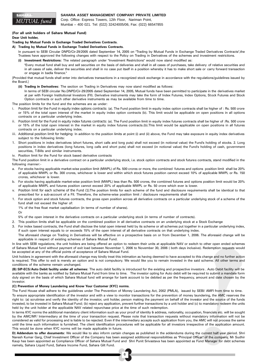

#### **SAHARA ASSET MANAGEMENT COMPANY PRIVATE LIMITED**

Corp. Office: Express Towers, 12th Floor, Nariman Point, Mumbai – 400 021. Tel: (022) 32424005/06, Fax: (022) 66547855

#### (For all unit holders of Sahara Mutual Fund)

#### Dear Unit holder,

#### Trading by Mutual Funds in Exchange Traded Derivatives Contracts.

#### A) Trading by Mutual Funds in Exchange Traded Derivatives Contracts.

In pursuant to SEBI Circular DNPD/Cir-29/2005 dated September 14, 2005 on "Trading by Mutual Funds in Exchange Traded Derivatives Contracts",the Trustees have approved the following changes with respect to the Policy on Trading in Derivatives of the schemes and investment restrictions. (i) Investment Restrictions: The related paragraph under "Investment Restrictions" would now stand modified as:

"Every mutual fund shall buy and sell securities on the basis of deliveries and shall in all cases of purchases, take delivery of relative securities and in all cases of sale, deliver the securities and shall in no case put itself in a position whereby it has to make short sale or carry forward transaction or engage in badla finance."

[Provided that mutual funds shall enter into derivatives transactions in a recognized stock exchange in accordance with the regulations/guidelines issued by the Board.]

- (ii) Trading in Derivatives: The section on Trading in Derivatives may now stand modified as follows:
	- In terms of SEBI circular No.DNPD/Cir-29/2005 dated September 14, 2005, Mutual funds have been permitted to participate in the derivatives market at par with Foreign Institutional Investors (FII). Derivative instruments may take the form of Index Futures, Index Options, Stock Futures and Stock Option contracts or such other derivative instruments as may be available from time to time.

The position limits for the fund and the schemes are as under:

- *i. Position limit for the Fund in equity index options contracts: (a).* The Fund position limit in equity index option contracts shall be higher of : Rs. 500 crore or 15% of the total open interest of the market in equity index option contracts (b). This limit would be applicable on open positions in all options contracts on a particular underlying index.
- *ii. Position limit for the Fund in equity index futures contracts:* (a). The Fund position limit in equity index futures contracts shall be higher of :Rs. 500 crore or 15% of the total open interest in the market in equity index futures contracts.(b).This limit would be applicable on open positions in all futures contracts on a particular underlying index.
- *iii. Additional position limit for hedging:* In addition to the position limits at point (i) and (ii) above, the Fund may take exposure in equity index derivatives subject to the following limits:
- 1. Short positions in index derivatives (short futures, short calls and long puts) shall not exceed (in notional value) the Fund's holding of stocks. 2. Long positions in index derivatives (long futures, long calls and short puts) shall not exceed (in notional value) the Fund's holding of cash, government securities, T-Bills and similar instruments.
- iv. Position limit for the Fund for stock based derivative contracts

The Fund position limit in a derivative contract on a particular underlying stock, i.e. stock option contracts and stock futures contracts, stand modified in the following manner:-

- a. For stocks having applicable market-wise position limit (MWPL) of Rs. 500 crores or more, the combined futures and options position limit shall be 20% of applicable MWPL or Rs. 300 crores, whichever is lower and within which stock futures position cannot exceed 10% of applicable MWPL or Rs. 150 crores, whichever is lower.
- b. For stocks having applicable market-wise position limit (MWPL) less than Rs. 500 crores, the combined futures and options position limit would be 20% of applicable MWPL and futures position cannot exceed 20% of applicable MWPL or Rs. 50 crore which ever is lower.
- *v. Position limit for each scheme of the Fund (1).*The position limits for each scheme of the fund and disclosure requirements shall be identical to that prescribed for a sub-account of a FII. Therefore, the scheme-wise position limit / disclosure requirements shall be
- 1. For stock option and stock futures contracts, the gross open position across all derivative contracts on a particular underlying stock of a scheme of the fund shall not exceed the higher of:

1% of the free float market capitalisation (in terms of number of shares).

#### Or

5% of the open interest in the derivative contracts on a particular underlying stock (in terms of number of contracts).

- 2. This position limits shall be applicable on the combined position in all derivative contracts on an underlying stock at a Stock Exchange
- 3. For index based contracts, the Fund shall disclose the total open interest held by its scheme or all schemes put together in a particular underlying index, if such open interest equals to or exceeds 15% of the open interest of all derivative contracts on that underlying index.
- The aforesaid change on Trading in Derivatives will be effective on a prospective basis on or from December 1, 2006. The aforesaid change will be applicable in respect of existing schemes of Sahara Mutual Fund.

In line with SEBI regulations, the unit holders are being offered an option to redeem their units at applicable NAV or switch to other open ended schemes of Sahara Mutual fund without payment of exit load between November 1, 2006 to November 30, 2006 ( both days inclusive). Redemption requests would be accepted at any of the official points of acceptance of Sahara Mutual Fund.

Unit holders in agreement with the aforesaid change may kindly treat this intimation as having deemed to have accepted to this change and no further action is required. This offer to exit is merely an option and is not compulsory. We would like you to remain invested in the said scheme. All other terms and conditions of the scheme remain unchanged.

(B) SIP-ECS/Auto Debit facility under all schemes: The auto debit facility is introduced for the existing and prospective investors . Auto Debit facility will be available with the banks as notified by Sahara Mutual Fund from time to time. The investor opting for Auto debit will be required to submit a mandate form duly signed on the basis of which Sahara Mutual fund will arrange for bank account to be debited as per the frequency, amount and date chosen by the investor.

#### (C) Prevention of Money Laundering and Know Your Customer (KYC) norms.

The Fund House shall adhere to the guidelines under The Prevention of Money Laundering Act, 2002 (PMLA), issued by SEBI/ AMFI from time to time. To ensure appropriate identification of the investor and with a view to monitor transactions for the prevention of money laundering, the AMC reserves the right to: (a) scrutinise and verify the identity of the investor, unit holder, person making the payment on behalf of the investor and the source of the funds invested, to be invested in Sahara Mutual Fund; (b) reject any application, prevent further transactions by a unit holder and (c) to mandatory redeem the units held by the unit holder at the applicable NAV related repurchase price at the time of such redemption.

In terms KYC norms the additional mandatory client information such as your proof of identity & address, nationality, occupation, financials etc. will be sought by the AMC/MF/ Intermediary at the time of your transaction request. Please note that transaction requests without mandatory information will not be considered as valid for processing and is liable to be rejected. Even if the intermediary accepts such application from you, the AMC will not process the same until the time such information is furnished. The client identification procedures will be applicable for all investors irrespective of the application amount. This would be done when KYC norms will be made applicable in future.

D) Addendum to offer documents: We would like to also inform certain changes as published in the addendums during the current half year period. Shri Naresh Kumar Garg, Chief Investment Officer of the Company has been assigned additional responsibilities as "Principal Officer" of the company, Mr Sudhir Kaup has been appointed as Compliance Officer of Sahara Mutual Fund and Shri Punit Srivastava has been appointed as Fund Manager for debt schemes namely, Sahara Liquid Fund, Sahara Income Fund, Sahara Gilt Fund.

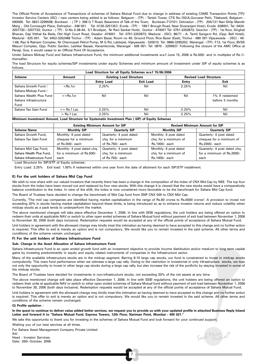The Official Points of Acceptance of Transactions of schemes of Sahara Mutual Fund due to change in address of existing CAMS Transaction Points (TP)/ Investor Service Centers (ISC) / new centers being added is as follows: Belgaum - (TP) : Tanish Tower, CTS No.192/A,Guruwar Peth, Tilakwadi, Belgaum - 590006. Tel: 0831-3299598; Burdwan - ( TP ): 398 G T Road, Basement of Talk of the Town, Burdwan-713101; Dehradun - (TP): 204/121 Nari Shilp Mandir Marg , Old Connaught Place, Dehradun - 248 001. Tel :0135-3251357; Erode - (TP) : 199/1 Brough Road, Near Sivaranjani Hotel, Erode -638001, Tel :0424- 3207730 / 3207733; Guntur - ( TP) : D-No 5-38-44, 5/1 Brodipet, Nr Ravi Sankar Hotel, Guntur - 474001 Tel: 0751-3202873; Gwa lior - (TP) : 1st floor, Singhal Bhavan, Daji Vitthal Ka Bada, Old High Court Road, Gwalior -474001 . Tel: 0751-3202873; Madurai - (ISC): 86/71 - A. Tamil Sangam Rd, (Opp. Bell Hotel), Madurai - 625 001. Tel: 0452-3252468 Trichur - (TP) : Adam Bazar, Room no 49, Ground Floor, Rice Bazar (East), Trichur - 680 001 Vijayawada - (ISC) : 40- 1-68, Rao & Ratnam Complex, Nr Chennupati Petrol Pump, M G Rd, Labbipet, Vijayawada - 520010. Tel: 0866-3295202; Warangal - (TP): F13, 1st Floor, BVSS Mayuri Complex, Opp. Public Garden, Lashkar Bazaar, Hanamkonda, Warangal - 506 001. Tel: 0870 - 3209927. Following the closure of the AMC Office at Panaji, Goa, it would cease to an Official Point Of Acceptance.

Under Sahara Midcap Fund and Sahara Infrastructure Fund, the minimum additional investments w.e.f June 15, 2006 is Rs.500/- and in multiples of Re.1/ thereafter.

The load Structure for equity schemes/SIP investments under equity Schemes and minimum amount of investment under SIP of equity schemes is as follows.

| Load Structure for all Equity Schemes w.e.f 15/06/2006 |                       |                                |                  |                               |                 |  |  |  |
|--------------------------------------------------------|-----------------------|--------------------------------|------------------|-------------------------------|-----------------|--|--|--|
| <b>Scheme</b>                                          | Amount                | <b>Existing Load Structure</b> |                  | <b>Revised Load Structure</b> |                 |  |  |  |
|                                                        |                       | <b>Entry Load</b>              | <b>Exit Load</b> | Entry                         | Exit            |  |  |  |
| Sahara Growth Fund /                                   | $<$ Rs.1 $cr$         | 2.25%                          | Nil              | 2.25%                         | Nil             |  |  |  |
| Sahara Midcap Fund /                                   |                       |                                |                  |                               |                 |  |  |  |
| Sahara Wealth Plus Fund                                | $>=$ Rs.1 $cr$        | Nil                            | Nil              | Nil                           | 1% if redeemed  |  |  |  |
| Sahara Infrastructure                                  |                       |                                |                  |                               | before 3 months |  |  |  |
| Fund                                                   |                       |                                |                  |                               |                 |  |  |  |
| Sahara Tax Gain Fund                                   | $\epsilon$ = Rs.1 Lac | 2.25%                          | Nil              | 2.25%                         | Nil             |  |  |  |
|                                                        | $>$ Rs.1 Lac          | 2.25%                          | Nil              | 2.25%                         | Nil             |  |  |  |

#### Minimum Investment Amount, Load Structure for Systematic Investment Plan ( SIP) of Equity Schemes

|                            | <b>Existing Minimum Amount for SIP</b> |                         | <b>Revised Minimum Amount for SIP</b> |                              |  |
|----------------------------|----------------------------------------|-------------------------|---------------------------------------|------------------------------|--|
| <b>Scheme Name</b>         | <b>Monthly SIP</b>                     | <b>Quarterly SIP</b>    | <b>Monthly SIP</b>                    | <b>Quarterly SIP</b>         |  |
| Sahara Growth Fund,        | Monthly: 6 post dated                  | Quarterly: 4 post dated | Monthly: 6 post dated                 | Quarterly: 4 post dated      |  |
| Sahara Tax Gain Fund       | cheques for a minimum                  | chq. for a minimum      | chq. for a minimum of                 | cheques for a minimum of     |  |
|                            | of Rs.500/- each                       | of Rs.750/- each        | Rs.1000/- each                        | Rs.2000/- each               |  |
| Sahara Mid Cap Fund,       | Monthly: 4 post dated chq.             | Quarterly: 4 post dated | Monthly: 6 post dated                 | Quarterly: 4 post dated chg. |  |
| Sahara Wealth Plus Fund,   | for a minimum of Rs.500/-              | chq. for a minimum      | chq. for a minimum of                 | for a minimum of Rs.2000/-   |  |
| Sahara Infrastructure Fund | each                                   | of Rs.750/- each        | Rs.1000/- each                        | each                         |  |

Load Structure for SIP/STP of Equity schemes:

Entry Load: 2.25% Exit load: 1.00% if redeemed within one year from the date of allotment for each SIP/STP installment.

#### E) For the unit holders of Sahara Mid Cap Fund

We wish to now share with our valued investors that recently there has been a change in the composition of the index of CNX Mid Cap by NSE. The top four stocks from the index have been moved out and replaced by four new stocks. With this change it is viewed that the new stocks would have a comparatively balance contribution to the Index. In view of the shift, the index is now considered more favorable to be the benchmark for Sahara Mid Cap fund.

The Board of Trustees have decided to change the benchmark of Mid Cap fund from SNP CNX 500 to CNX Mid Cap.

Currently, "The mid cap companies are identified having market capitalization in the range of Rs.60 crores to Rs.6000 crores". A provision to invest not exceeding 20% in stocks having market capitaliation beyond these limits, is being introduced so as to enhance investor returns and reduce volatility when midcap stocks as a pack tends to underperform the market.

The above mentioned changes will take place effective December 1, 2006. In line with SEBI regulations, the unit holders are being offered an option to redeem their units at applicable NAV or switch to other open ended schemes of Sahara Mutual fund without payment of exit load between November 1, 2006 to November 30, 2006 (both days inclusive). Redemption requests would be accepted at any of the official points of acceptance of Sahara Mutual Fund.

Unit holders in agreement with the aforesaid change may kindly treat this intimation as having deemed to have accepted to this change and no further action is required. This offer to exit is merely an option and is not compulsory. We would like you to remain invested in the said scheme. All other terms and conditions of the scheme remain unchanged.

#### F) For the unit holders of Sahara Infrastructure Fund

#### Sub: Change in the Asset Allocation of Sahara Infrastructure Fund.

Sahara Infrastructure Fund is an open ended growth fund with an investment objective to provide income distribution and/or medium to long term capital gains by investing predominantly in equity and equity related instruments of companies in the Infrastructure sector.

Many of the available infrastructure stocks are in the midcap segment. Barring 8-10 large cap stocks, our fund is constrained to invest in midcap stocks compulsorily. This mars fund performance when we witmess a large cap rally. Owing to the restriction in investmnet in only infrastructure stocks, we lose not only the oppurtunity to invest in other large cap stocks during a large cap rally, but also increase the risk of the portfolio by staying invested in some of the midcap stocks.

The Board of Trustees have decided for investments in non-infrastructure stocks, not exceeding 20% of the net assets at any time.

The above mentioned change will take place effective December 1, 2006. In line with SEBI regulations, the unit holders are being offered an option to redeem their units at applicable NAV or switch to other open ended schemes of Sahara Mutual fund without payment of exit load between November 1, 2006 to November 30, 2006 (both days inclusive). Redemption requests would be accepted at any of the official points of acceptance of Sahara Mutual Fund.

Unit holders in agreement with the aforesaid change may kindly treat this intimation as having deemed to have accepted to this change and no further action is required. This offer to exit is merely an option and is not compulsory. We would like you to remain invested in the said scheme. All other terms and conditions of the scheme remain unchanged.

#### G) Profile updation :

In the quest to continue to deliver value added better services, we request you to provide us with your updated profile in attached Business Reply Inland Letter and forward it to "Sahara Mutual Fund, Express Towers, 12th Floor, Nariman Point, Mumbai - 400 021."

7

We take this opportunity to thank you for investing in the schemes of Sahara Mutual Fund and look forward for your continued support.

Wishing you of our best services at all times.

For Sahara Asset Management Company Private Limited

Head - Investor Services. Date: 26th October, 2006

Sd/-